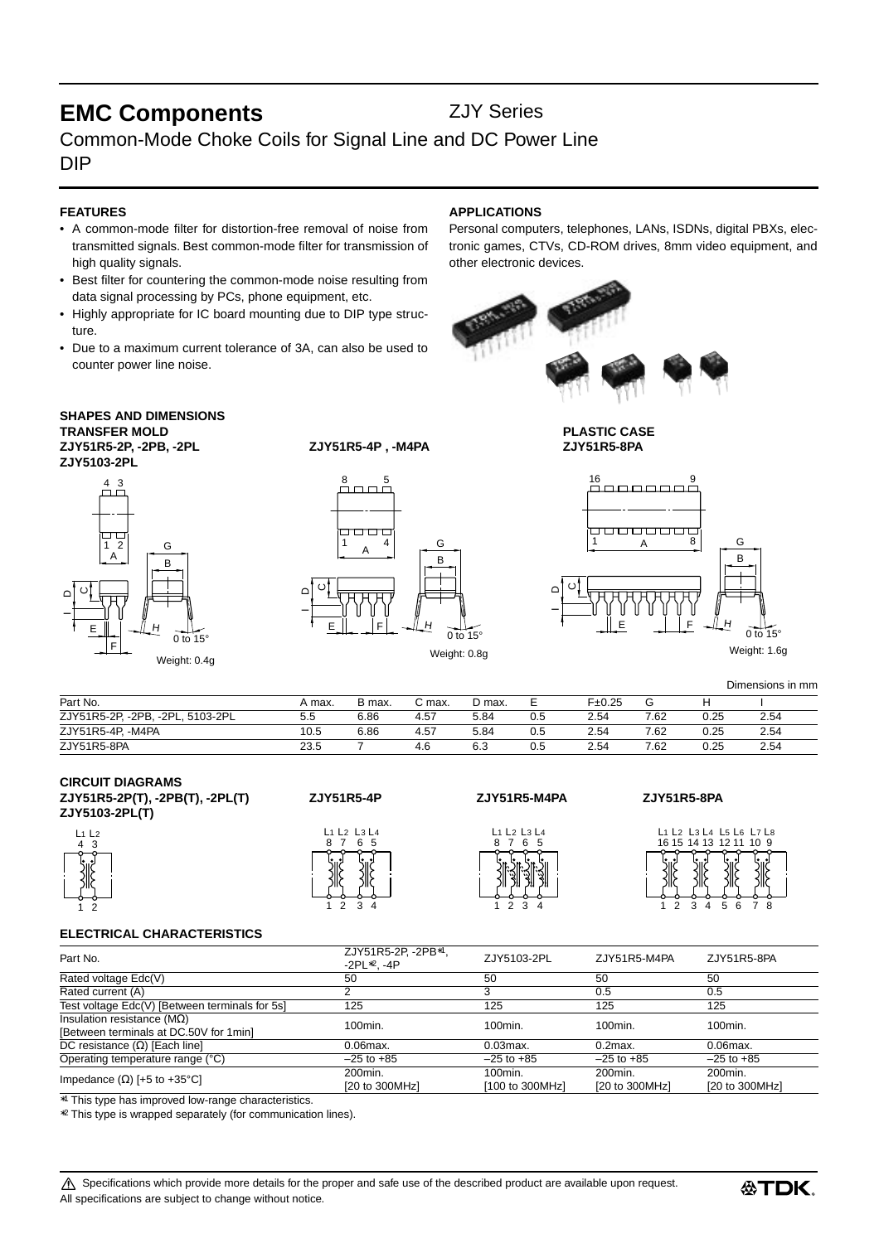# **EMC Components ZJY Series**

## Common-Mode Choke Coils for Signal Line and DC Power Line DIP

### **FEATURES**

- A common-mode filter for distortion-free removal of noise from transmitted signals. Best common-mode filter for transmission of high quality signals.
- Best filter for countering the common-mode noise resulting from data signal processing by PCs, phone equipment, etc.
- Highly appropriate for IC board mounting due to DIP type structure.
- Due to a maximum current tolerance of 3A, can also be used to counter power line noise.

## **SHAPES AND DIMENSIONS TRANSFER MOLD PLASTIC CASE**

**ZJY51R5-2P, -2PB, -2PL ZJY51R5-4P , -M4PA ZJY51R5-8PA ZJY5103-2PL**



## **APPLICATIONS**

Personal computers, telephones, LANs, ISDNs, digital PBXs, electronic games, CTVs, CD-ROM drives, 8mm video equipment, and other electronic devices.



1

D $\circ$ \_

A

<del>oooooc</del>

000000

16





Weight: 0.8g

E | | F H  $0$  to 15 Weight: 1.6g

B G

Dimensions in mm

| Part No.                         | A max. | B max. | C max. | D max. |     | F±0.25 | G    | н    |      |
|----------------------------------|--------|--------|--------|--------|-----|--------|------|------|------|
| ZJY51R5-2P, -2PB, -2PL, 5103-2PL | 5.5    | 6.86   | 4.57   | 5.84   | 0.5 | 2.54   | 7.62 | 0.25 | 2.54 |
| ZJY51R5-4P, -M4PA                | 10.5   | 6.86   | 4.57   | 5.84   | 0.5 | 2.54   | 7.62 | 0.25 | 2.54 |
| ZJY51R5-8PA                      | 23.5   |        | 4.6    | 6.3    | U.5 | 2.54   | 7.62 | 0.25 | 2.54 |

| <b>CIRCUIT DIAGRAMS</b>         |  |  |
|---------------------------------|--|--|
| ZJY51R5-2P(T), -2PB(T), -2PL(T) |  |  |
| ZJY5103-2PL(T)                  |  |  |



| L1<br>8 | $L_2$ $L_3$ $L_4$<br>5<br>6 |  |
|---------|-----------------------------|--|
|         |                             |  |
|         |                             |  |
|         |                             |  |

**ZJY51R5-2P(T), -2PB(T), -2PL(T) ZJY51R5-4P ZJY51R5-M4PA ZJY51R5-8PA**

## 8 7 6 L1 L2 L3 L4 5

1 2 3 4

| ZJY51R5-8PA |
|-------------|
|             |

 $\overline{8}$ 

9

16 15 1 2 3 4 L1 L2 L3 L4 L5 L6 L7 L814 13 12 11 10 5 6 7 8 9

### **ELECTRICAL CHARACTERISTICS**

| Part No.                                       | ZJY51R5-2P, -2PB*1<br>$-2PL*2. -4P$ | ZJY5103-2PL     | ZJY51R5-M4PA   | ZJY51R5-8PA    |  |
|------------------------------------------------|-------------------------------------|-----------------|----------------|----------------|--|
| Rated voltage Edc(V)                           | 50                                  | 50              | 50             | 50             |  |
| Rated current (A)                              |                                     |                 | 0.5            | 0.5            |  |
| Test voltage Edc(V) [Between terminals for 5s] | 125                                 | 125             | 125            | 125            |  |
| Insulation resistance ( $M\Omega$ )            | 100min.                             | 100min.         | 100min.        | 100min.        |  |
| [Between terminals at DC.50V for 1min]         |                                     |                 |                |                |  |
| DC resistance $(\Omega)$ [Each line]           | $0.06$ max.                         | $0.03$ max.     | $0.2$ max.     | $0.06$ max.    |  |
| Operating temperature range (°C)               | $-25$ to $+85$                      | $-25$ to $+85$  | $-25$ to $+85$ | $-25$ to $+85$ |  |
| Impedance $(\Omega)$ [+5 to +35°C]             | 200min.                             | $100$ min.      | 200min.        | 200min.        |  |
|                                                | [20 to 300MHz]                      | [100 to 300MHz] | [20 to 300MHz] | [20 to 300MHz] |  |

∗1 This type has improved low-range characteristics.

∗2 This type is wrapped separately (for communication lines).

Specifications which provide more details for the proper and safe use of the described product are available upon request. All specifications are subject to change without notice.